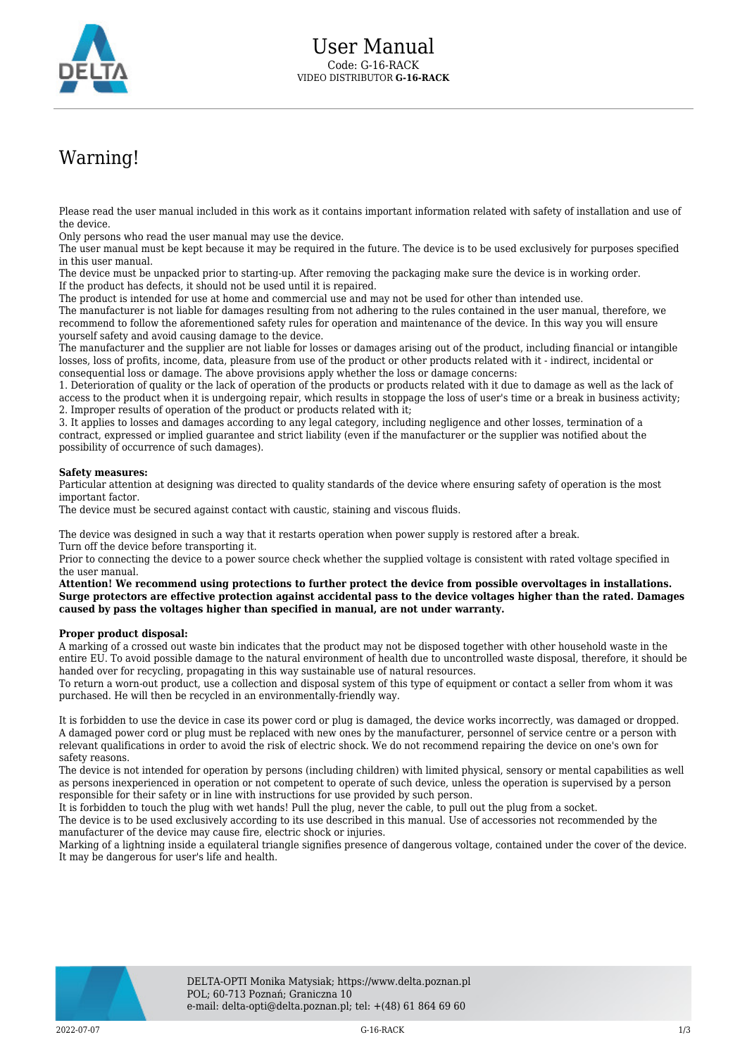

## Warning!

Please read the user manual included in this work as it contains important information related with safety of installation and use of the device.

Only persons who read the user manual may use the device.

The user manual must be kept because it may be required in the future. The device is to be used exclusively for purposes specified in this user manual.

The device must be unpacked prior to starting-up. After removing the packaging make sure the device is in working order. If the product has defects, it should not be used until it is repaired.

The product is intended for use at home and commercial use and may not be used for other than intended use.

The manufacturer is not liable for damages resulting from not adhering to the rules contained in the user manual, therefore, we recommend to follow the aforementioned safety rules for operation and maintenance of the device. In this way you will ensure yourself safety and avoid causing damage to the device.

The manufacturer and the supplier are not liable for losses or damages arising out of the product, including financial or intangible losses, loss of profits, income, data, pleasure from use of the product or other products related with it - indirect, incidental or consequential loss or damage. The above provisions apply whether the loss or damage concerns:

1. Deterioration of quality or the lack of operation of the products or products related with it due to damage as well as the lack of access to the product when it is undergoing repair, which results in stoppage the loss of user's time or a break in business activity; 2. Improper results of operation of the product or products related with it;

3. It applies to losses and damages according to any legal category, including negligence and other losses, termination of a contract, expressed or implied guarantee and strict liability (even if the manufacturer or the supplier was notified about the possibility of occurrence of such damages).

## **Safety measures:**

Particular attention at designing was directed to quality standards of the device where ensuring safety of operation is the most important factor.

The device must be secured against contact with caustic, staining and viscous fluids.

The device was designed in such a way that it restarts operation when power supply is restored after a break. Turn off the device before transporting it.

Prior to connecting the device to a power source check whether the supplied voltage is consistent with rated voltage specified in the user manual.

**Attention! We recommend using protections to further protect the device from possible overvoltages in installations. Surge protectors are effective protection against accidental pass to the device voltages higher than the rated. Damages caused by pass the voltages higher than specified in manual, are not under warranty.**

## **Proper product disposal:**

A marking of a crossed out waste bin indicates that the product may not be disposed together with other household waste in the entire EU. To avoid possible damage to the natural environment of health due to uncontrolled waste disposal, therefore, it should be handed over for recycling, propagating in this way sustainable use of natural resources.

To return a worn-out product, use a collection and disposal system of this type of equipment or contact a seller from whom it was purchased. He will then be recycled in an environmentally-friendly way.

It is forbidden to use the device in case its power cord or plug is damaged, the device works incorrectly, was damaged or dropped. A damaged power cord or plug must be replaced with new ones by the manufacturer, personnel of service centre or a person with relevant qualifications in order to avoid the risk of electric shock. We do not recommend repairing the device on one's own for safety reasons.

The device is not intended for operation by persons (including children) with limited physical, sensory or mental capabilities as well as persons inexperienced in operation or not competent to operate of such device, unless the operation is supervised by a person responsible for their safety or in line with instructions for use provided by such person.

It is forbidden to touch the plug with wet hands! Pull the plug, never the cable, to pull out the plug from a socket.

The device is to be used exclusively according to its use described in this manual. Use of accessories not recommended by the manufacturer of the device may cause fire, electric shock or injuries.

Marking of a lightning inside a equilateral triangle signifies presence of dangerous voltage, contained under the cover of the device. It may be dangerous for user's life and health.

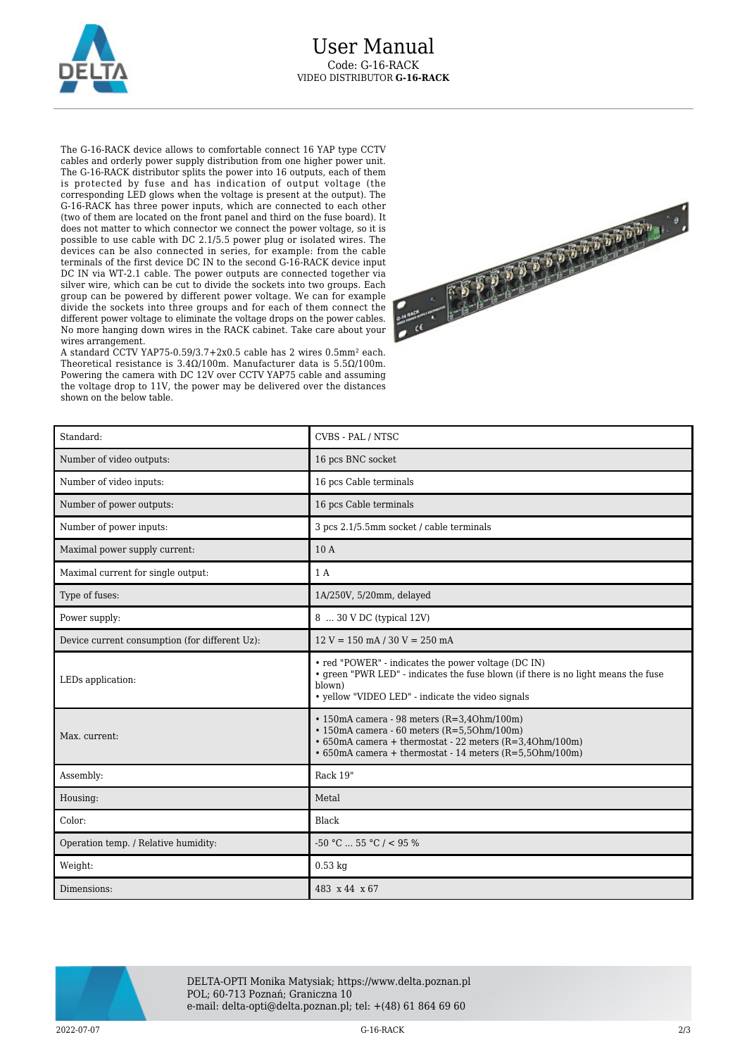

The G-16-RACK device allows to comfortable connect 16 YAP type CCTV cables and orderly power supply distribution from one higher power unit. The G-16-RACK distributor splits the power into 16 outputs, each of them is protected by fuse and has indication of output voltage (the corresponding LED glows when the voltage is present at the output). The G-16-RACK has three power inputs, which are connected to each other (two of them are located on the front panel and third on the fuse board). It does not matter to which connector we connect the power voltage, so it is possible to use cable with DC 2.1/5.5 power plug or isolated wires. The devices can be also connected in series, for example: from the cable terminals of the first device DC IN to the second G-16-RACK device input DC IN via WT-2.1 cable. The power outputs are connected together via silver wire, which can be cut to divide the sockets into two groups. Each group can be powered by different power voltage. We can for example divide the sockets into three groups and for each of them connect the different power voltage to eliminate the voltage drops on the power cables. No more hanging down wires in the RACK cabinet. Take care about your wires arrangement.

A standard CCTV YAP75-0.59/3.7+2x0.5 cable has 2 wires 0.5mm² each. Theoretical resistance is 3.4Ω/100m. Manufacturer data is 5.5Ω/100m. Powering the camera with DC 12V over CCTV YAP75 cable and assuming the voltage drop to 11V, the power may be delivered over the distances shown on the below table.



| Standard:                                      | CVBS - PAL / NTSC                                                                                                                                                                                                                      |
|------------------------------------------------|----------------------------------------------------------------------------------------------------------------------------------------------------------------------------------------------------------------------------------------|
| Number of video outputs:                       | 16 pcs BNC socket                                                                                                                                                                                                                      |
| Number of video inputs:                        | 16 pcs Cable terminals                                                                                                                                                                                                                 |
| Number of power outputs:                       | 16 pcs Cable terminals                                                                                                                                                                                                                 |
| Number of power inputs:                        | 3 pcs 2.1/5.5mm socket / cable terminals                                                                                                                                                                                               |
| Maximal power supply current:                  | 10 A                                                                                                                                                                                                                                   |
| Maximal current for single output:             | 1A                                                                                                                                                                                                                                     |
| Type of fuses:                                 | 1A/250V, 5/20mm, delayed                                                                                                                                                                                                               |
| Power supply:                                  | 8  30 V DC (typical 12V)                                                                                                                                                                                                               |
| Device current consumption (for different Uz): | $12 V = 150$ mA $/ 30 V = 250$ mA                                                                                                                                                                                                      |
| LEDs application:                              | • red "POWER" - indicates the power voltage (DC IN)<br>• green "PWR LED" - indicates the fuse blown (if there is no light means the fuse<br>blown)<br>• yellow "VIDEO LED" - indicate the video signals                                |
| Max. current:                                  | $\cdot$ 150mA camera - 98 meters (R=3,40hm/100m)<br>$\cdot$ 150mA camera - 60 meters (R=5,50hm/100m)<br>$\cdot$ 650mA camera + thermostat - 22 meters (R=3,40hm/100m)<br>$\cdot$ 650mA camera + thermostat - 14 meters (R=5,50hm/100m) |
| Assembly:                                      | Rack 19"                                                                                                                                                                                                                               |
| Housing:                                       | Metal                                                                                                                                                                                                                                  |
| Color:                                         | Black                                                                                                                                                                                                                                  |
| Operation temp. / Relative humidity:           | $-50$ °C $\ldots$ 55 °C / < 95 %                                                                                                                                                                                                       |
| Weight:                                        | $0.53$ kg                                                                                                                                                                                                                              |
| Dimensions:                                    | 483 x 44 x 67                                                                                                                                                                                                                          |



DELTA-OPTI Monika Matysiak; https://www.delta.poznan.pl POL; 60-713 Poznań; Graniczna 10 e-mail: delta-opti@delta.poznan.pl; tel: +(48) 61 864 69 60